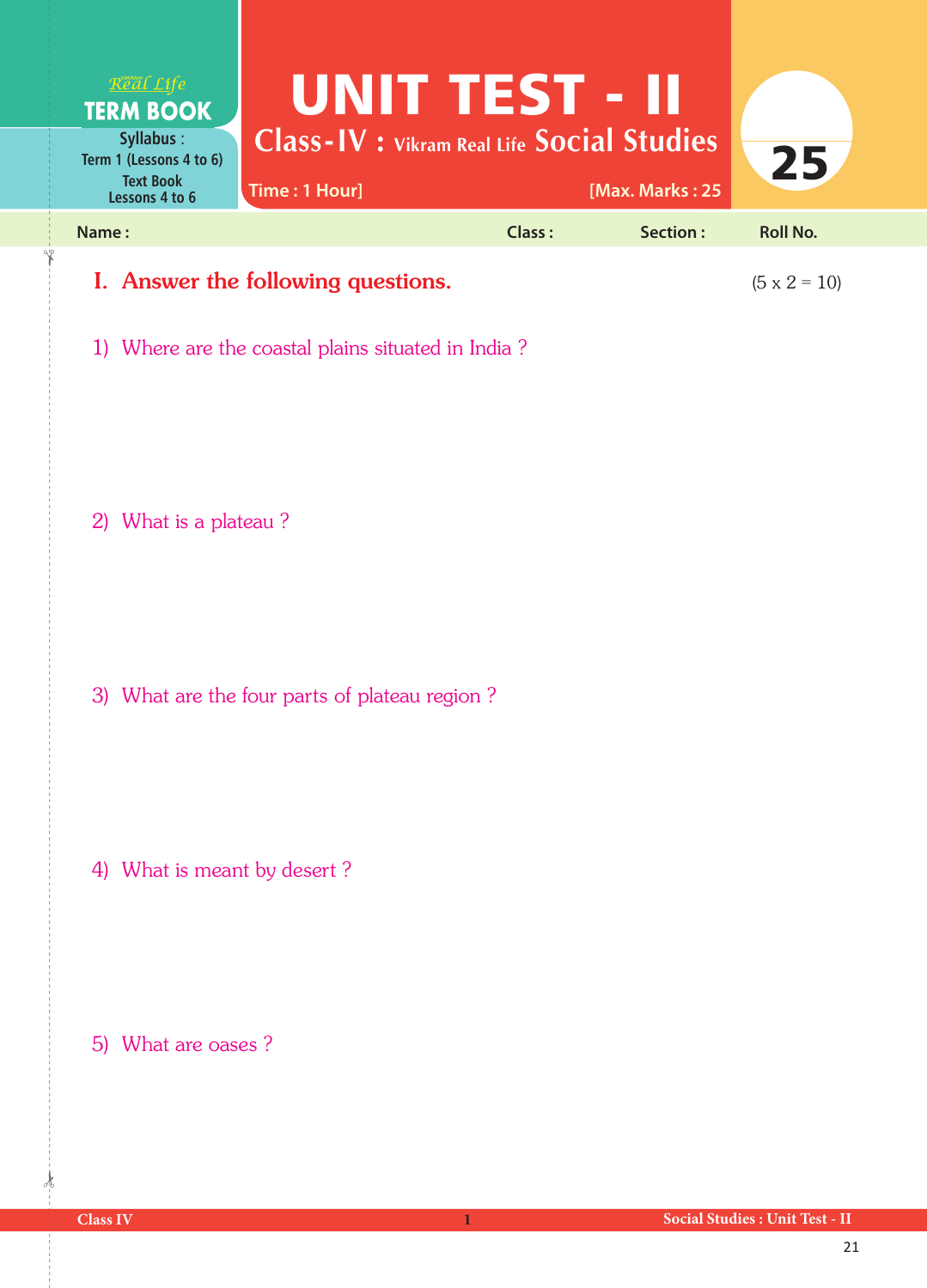

1) Where are the coastal plains situated in India ?

2) What is a plateau ?

3) What are the four parts of plateau region ?

4) What is meant by desert ?

5) What are oases ?

 $\frac{1}{2}$